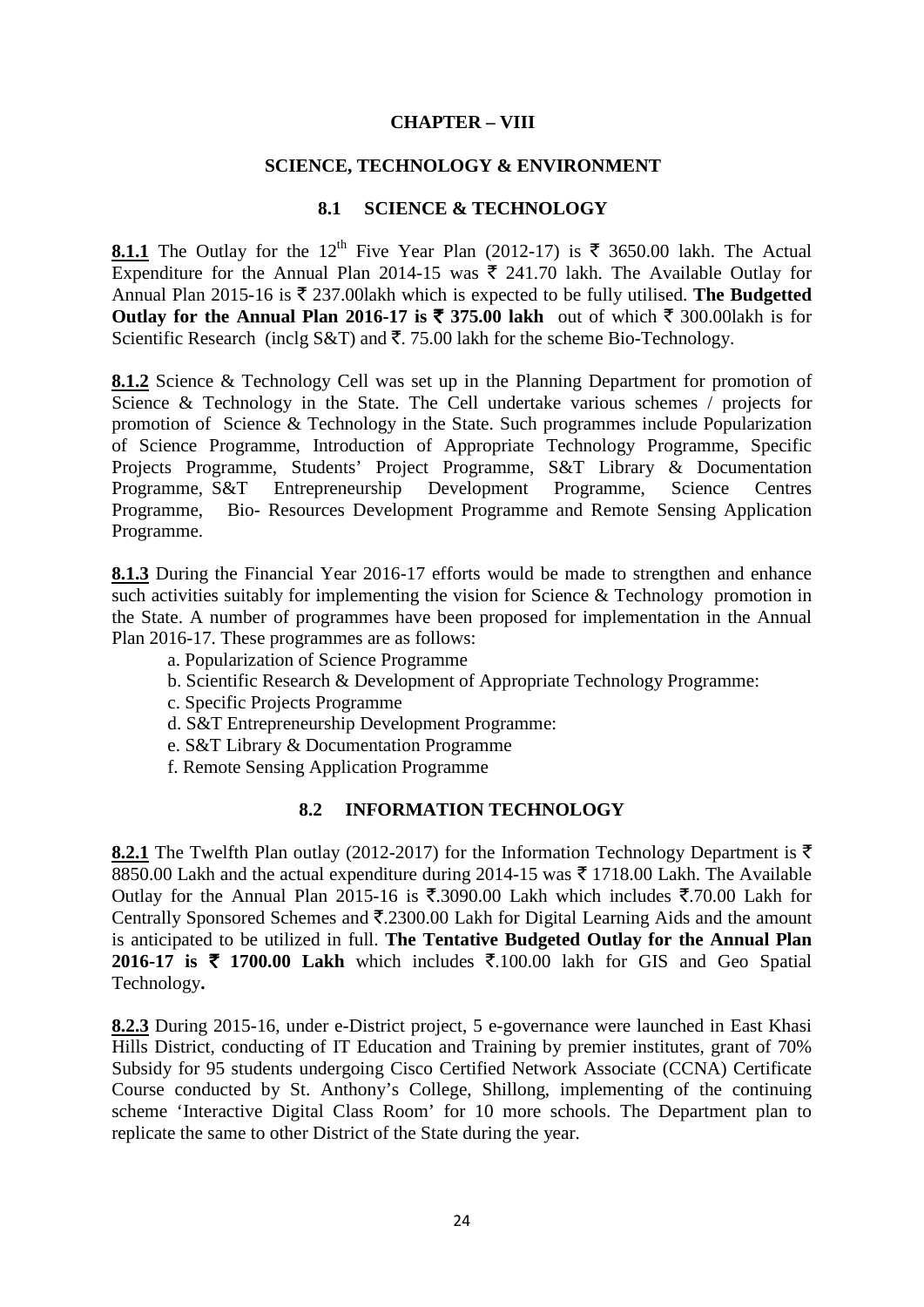### **CHAPTER – VIII**

#### **SCIENCE, TECHNOLOGY & ENVIRONMENT**

## **8.1 SCIENCE & TECHNOLOGY**

**8.1.1** The Outlay for the 12<sup>th</sup> Five Year Plan (2012-17) is  $\bar{\tau}$  3650.00 lakh. The Actual Expenditure for the Annual Plan 2014-15 was  $\bar{\xi}$  241.70 lakh. The Available Outlay for Annual Plan 2015-16 is  $\bar{\tau}$  237.00 lakh which is expected to be fully utilised. The Budgetted **Outlay for the Annual Plan 2016-17 is ₹ 375.00 lakh** out of which ₹ 300.00lakh is for Scientific Research (inclg S&T) and  $\bar{\tau}$ . 75.00 lakh for the scheme Bio-Technology.

8.1.2 Science & Technology Cell was set up in the Planning Department for promotion of Science & Technology in the State. The Cell undertake various schemes / projects for promotion of Science & Technology in the State. Such programmes include Popularization of Science Programme, Introduction of Appropriate Technology Programme, Specific Projects Programme, Students' Project Programme, S&T Library & Documentation Programme, S&T Entrepreneurship Development Programme, Science Centres Programme, Bio- Resources Development Programme and Remote Sensing Application Programme.

**8.1.3** During the Financial Year 2016-17 efforts would be made to strengthen and enhance such activities suitably for implementing the vision for Science & Technology promotion in the State. A number of programmes have been proposed for implementation in the Annual Plan 2016-17. These programmes are as follows:

- a. Popularization of Science Programme
- b. Scientific Research & Development of Appropriate Technology Programme:
- c. Specific Projects Programme
- d. S&T Entrepreneurship Development Programme:
- e. S&T Library & Documentation Programme
- f. Remote Sensing Application Programme

#### **8.2 INFORMATION TECHNOLOGY**

**8.2.1** The Twelfth Plan outlay (2012-2017) for the Information Technology Department is  $\bar{\tau}$ 8850.00 Lakh and the actual expenditure during 2014-15 was  $\bar{\tau}$  1718.00 Lakh. The Available Outlay for the Annual Plan 2015-16 is  $\overline{\xi}$ .3090.00 Lakh which includes  $\overline{\xi}$ .70.00 Lakh for Centrally Sponsored Schemes and  $\overline{\mathfrak{F}}$ .2300.00 Lakh for Digital Learning Aids and the amount is anticipated to be utilized in full. **The Tentative Budgeted Outlay for the Annual Plan 2016-17 is ₹ 1700.00 Lakh** which includes ₹.100.00 lakh for GIS and Geo Spatial Technology**.** 

**8.2.3** During 2015-16, under e-District project, 5 e-governance were launched in East Khasi Hills District, conducting of IT Education and Training by premier institutes, grant of 70% Subsidy for 95 students undergoing Cisco Certified Network Associate (CCNA) Certificate Course conducted by St. Anthony's College, Shillong, implementing of the continuing scheme 'Interactive Digital Class Room' for 10 more schools. The Department plan to replicate the same to other District of the State during the year.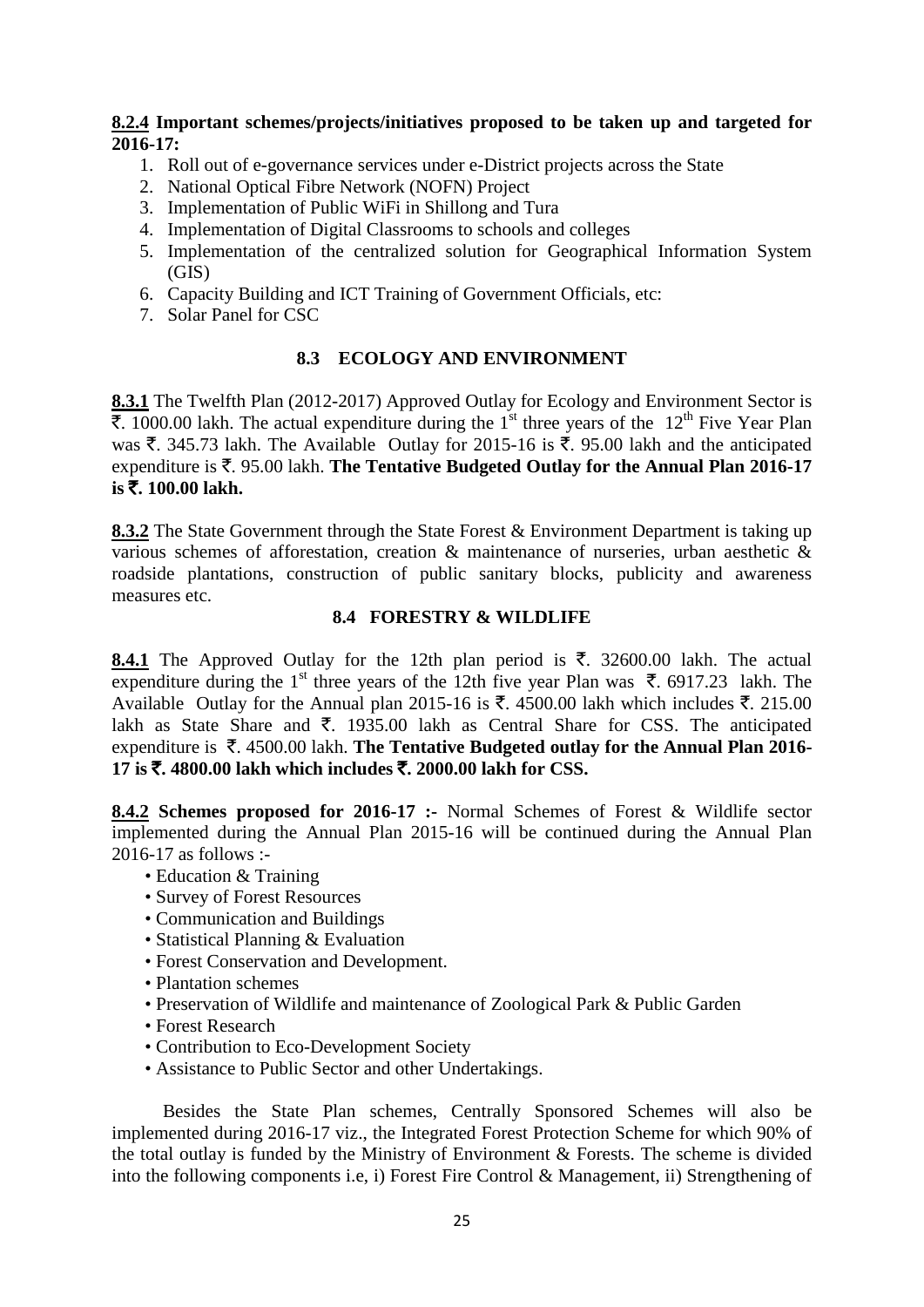## **8.2.4 Important schemes/projects/initiatives proposed to be taken up and targeted for 2016-17:**

- 1. Roll out of e-governance services under e-District projects across the State
- 2. National Optical Fibre Network (NOFN) Project
- 3. Implementation of Public WiFi in Shillong and Tura
- 4. Implementation of Digital Classrooms to schools and colleges
- 5. Implementation of the centralized solution for Geographical Information System (GIS)
- 6. Capacity Building and ICT Training of Government Officials, etc:
- 7. Solar Panel for CSC

# **8.3 ECOLOGY AND ENVIRONMENT**

**8.3.1** The Twelfth Plan (2012-2017) Approved Outlay for Ecology and Environment Sector is  $\overline{\xi}$ . 1000.00 lakh. The actual expenditure during the 1<sup>st</sup> three years of the 12<sup>th</sup> Five Year Plan was  $\bar{\xi}$ . 345.73 lakh. The Available Outlay for 2015-16 is  $\bar{\xi}$ . 95.00 lakh and the anticipated expenditure is  $\bar{\xi}$ . 95.00 lakh. **The Tentative Budgeted Outlay for the Annual Plan 2016-17 is** `**. 100.00 lakh.** 

**8.3.2** The State Government through the State Forest & Environment Department is taking up various schemes of afforestation, creation & maintenance of nurseries, urban aesthetic & roadside plantations, construction of public sanitary blocks, publicity and awareness measures etc.

# **8.4 FORESTRY & WILDLIFE**

**8.4.1** The Approved Outlay for the 12th plan period is  $\bar{\tau}$ . 32600.00 lakh. The actual expenditure during the 1<sup>st</sup> three years of the 12th five year Plan was  $\bar{\xi}$ . 6917.23 lakh. The Available Outlay for the Annual plan 2015-16 is  $\bar{\tau}$ . 4500.00 lakh which includes  $\bar{\tau}$ . 215.00 lakh as State Share and  $\bar{\tau}$ . 1935.00 lakh as Central Share for CSS. The anticipated expenditure is  $\bar{\tau}$ . 4500.00 lakh. **The Tentative Budgeted outlay for the Annual Plan 2016-17 is** `**. 4800.00 lakh which includes** `**. 2000.00 lakh for CSS.**

**8.4.2 Schemes proposed for 2016-17 :-** Normal Schemes of Forest & Wildlife sector implemented during the Annual Plan 2015-16 will be continued during the Annual Plan 2016-17 as follows :-

- Education & Training
- Survey of Forest Resources
- Communication and Buildings
- Statistical Planning & Evaluation
- Forest Conservation and Development.
- Plantation schemes
- Preservation of Wildlife and maintenance of Zoological Park & Public Garden
- Forest Research
- Contribution to Eco-Development Society
- Assistance to Public Sector and other Undertakings.

 Besides the State Plan schemes, Centrally Sponsored Schemes will also be implemented during 2016-17 viz., the Integrated Forest Protection Scheme for which 90% of the total outlay is funded by the Ministry of Environment & Forests. The scheme is divided into the following components i.e, i) Forest Fire Control & Management, ii) Strengthening of